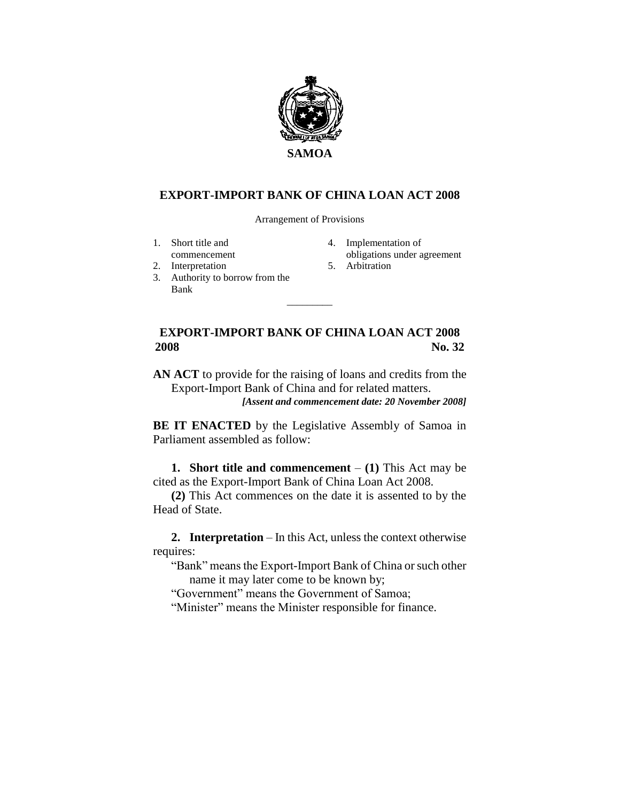

## **EXPORT-IMPORT BANK OF CHINA LOAN ACT 2008**

Arrangement of Provisions

- 1. Short title and
- commencement
- 2. Interpretation
- 3. Authority to borrow from the Bank  $\overline{\phantom{a}}$
- 4. Implementation of obligations under agreement
- 5. Arbitration

## **EXPORT-IMPORT BANK OF CHINA LOAN ACT 2008 2008 No. 32**

**AN ACT** to provide for the raising of loans and credits from the Export-Import Bank of China and for related matters.

*[Assent and commencement date: 20 November 2008]*

**BE IT ENACTED** by the Legislative Assembly of Samoa in Parliament assembled as follow:

**1. Short title and commencement** – **(1)** This Act may be cited as the Export-Import Bank of China Loan Act 2008.

**(2)** This Act commences on the date it is assented to by the Head of State.

**2. Interpretation** – In this Act, unless the context otherwise requires:

"Bank" means the Export-Import Bank of China or such other name it may later come to be known by;

"Government" means the Government of Samoa;

"Minister" means the Minister responsible for finance.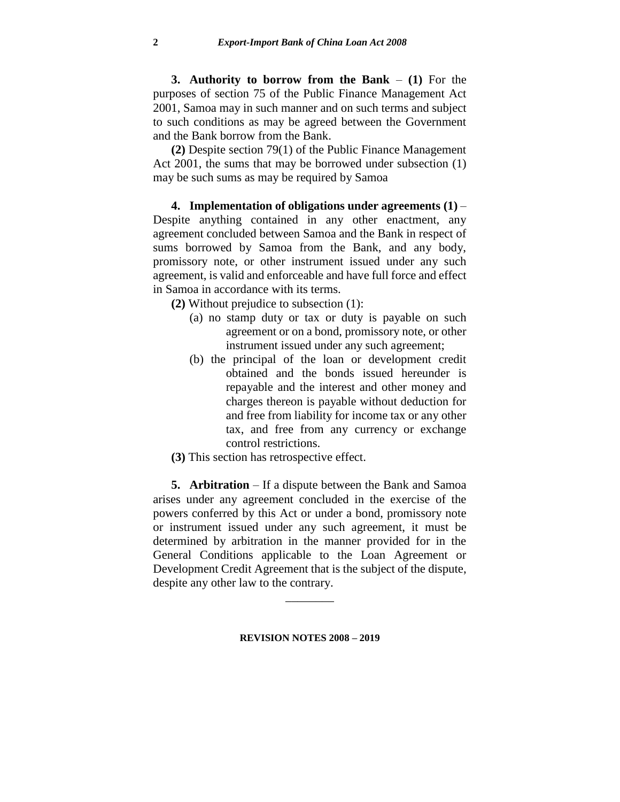**3. Authority to borrow from the Bank** – **(1)** For the purposes of section 75 of the Public Finance Management Act 2001, Samoa may in such manner and on such terms and subject to such conditions as may be agreed between the Government and the Bank borrow from the Bank.

**(2)** Despite section 79(1) of the Public Finance Management Act 2001, the sums that may be borrowed under subsection (1) may be such sums as may be required by Samoa

**4. Implementation of obligations under agreements (1)** – Despite anything contained in any other enactment, any agreement concluded between Samoa and the Bank in respect of sums borrowed by Samoa from the Bank, and any body, promissory note, or other instrument issued under any such agreement, is valid and enforceable and have full force and effect in Samoa in accordance with its terms.

**(2)** Without prejudice to subsection (1):

- (a) no stamp duty or tax or duty is payable on such agreement or on a bond, promissory note, or other instrument issued under any such agreement;
- (b) the principal of the loan or development credit obtained and the bonds issued hereunder is repayable and the interest and other money and charges thereon is payable without deduction for and free from liability for income tax or any other tax, and free from any currency or exchange control restrictions.
- **(3)** This section has retrospective effect.

**5. Arbitration** – If a dispute between the Bank and Samoa arises under any agreement concluded in the exercise of the powers conferred by this Act or under a bond, promissory note or instrument issued under any such agreement, it must be determined by arbitration in the manner provided for in the General Conditions applicable to the Loan Agreement or Development Credit Agreement that is the subject of the dispute, despite any other law to the contrary.

**REVISION NOTES 2008 – 2019**

 $\overline{\phantom{a}}$  . The set of the set of the set of the set of the set of the set of the set of the set of the set of the set of the set of the set of the set of the set of the set of the set of the set of the set of the set o